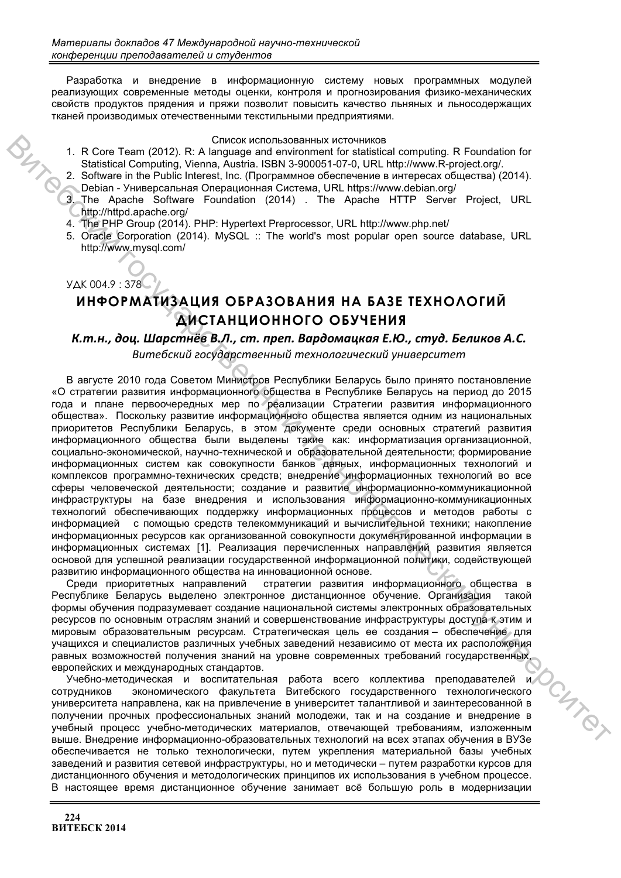Разработка и внедрение в информационную систему новых программных модулей реализующих современные методы оценки, контроля и прогнозирования физико-механических свойств продуктов прядения и пряжи позволит повысить качество льняных и льносодержащих тканей производимых отечественными текстильными предприятиями.

### Список использованных источников

- 1. R Core Team (2012). R: A language and environment for statistical computing. R Foundation for Statistical Computing, Vienna, Austria, ISBN 3-900051-07-0, URL http://www.R-project.org/.
- 2. Software in the Public Interest, Inc. (Программное обеспечение в интересах общества) (2014). Debian - Универсальная Операционная Система, URL https://www.debian.org/
- $3.$ The Apache Software Foundation (2014) . The Apache HTTP Server Project, URL http://httpd.apache.org/
- 4. The PHP Group (2014). PHP: Hypertext Preprocessor, URL http://www.php.net/
- 5. Oracle Corporation (2014). MySQL :: The world's most popular open source database. URL http://www.mysql.com/

## УДК 004.9:378

# ИНФОРМАТИЗАЦИЯ ОБРАЗОВАНИЯ НА БАЗЕ ТЕХНОЛОГИЙ ДИСТАНЦИОННОГО ОБУЧЕНИЯ

# К.т.н., доц. Шарстнёв В.Л., ст. преп. Вардомацкая Е.Ю., студ. Беликов А.С.

Витебский государственный технологический университет

В августе 2010 года Советом Министров Республики Беларусь было принято постановление «О стратегии развития информационного общества в Республике Беларусь на период до 2015 года и плане первоочередных мер по реализации Стратегии развития информационного общества». Поскольку развитие информационного общества является одним из национальных приоритетов Республики Беларусь, в этом документе среди основных стратегий развития информационного общества были выделены такие как: информатизация организационной, социально-экономической, научно-технической и образовательной деятельности; формирование информационных систем как совокупности банков данных, информационных технологий и комплексов программно-технических средств; внедрение информационных технологий во все сферы человеческой деятельности; создание и развитие информационно-коммуникационной инфраструктуры на базе внедрения и использования информационно-коммуникационных технологий обеспечивающих поддержку информационных процессов и методов работы с информацией с помошью средств телекоммуникаций и вычислительной техники: накопление информационных ресурсов как организованной совокупности документированной информации в информационных системах [1]. Реализация перечисленных направлений развития является основой для успешной реализации государственной информационной политики, содействующей развитию информационного общества на инновационной основе.

Среди приоритетных направлений стратегии развития информационного общества в Республике Беларусь выделено электронное дистанционное обучение. Организация такой формы обучения подразумевает создание национальной системы электронных образовательных ресурсов по основным отраслям знаний и совершенствование инфраструктуры доступа к этим и мировым образовательным ресурсам. Стратегическая цель ее создания - обеспечение для учащихся и специалистов различных учебных заведений независимо от места их расположения равных возможностей получения знаний на уровне современных требований государственных, европейских и международных стандартов.

DCHTROX Учебно-методическая и воспитательная работа всего коллектива преподавателей и экономического факультета Витебского государственного технологического СОТРУДНИКОВ университета направлена, как на привлечение в университет талантливой и заинтересованной в получении прочных профессиональных знаний молодежи, так и на создание и внедрение в учебный процесс учебно-методических материалов, отвечающей требованиям, изложенным выше. Внедрение информационно-образовательных технологий на всех этапах обучения в ВУЗе обеспечивается не только технологически, путем укрепления материальной базы учебных заведений и развития сетевой инфраструктуры, но и методически - путем разработки курсов для дистанционного обучения и методологических принципов их использования в учебном процессе. В настоящее время дистанционное обучение занимает всё большую роль в модернизации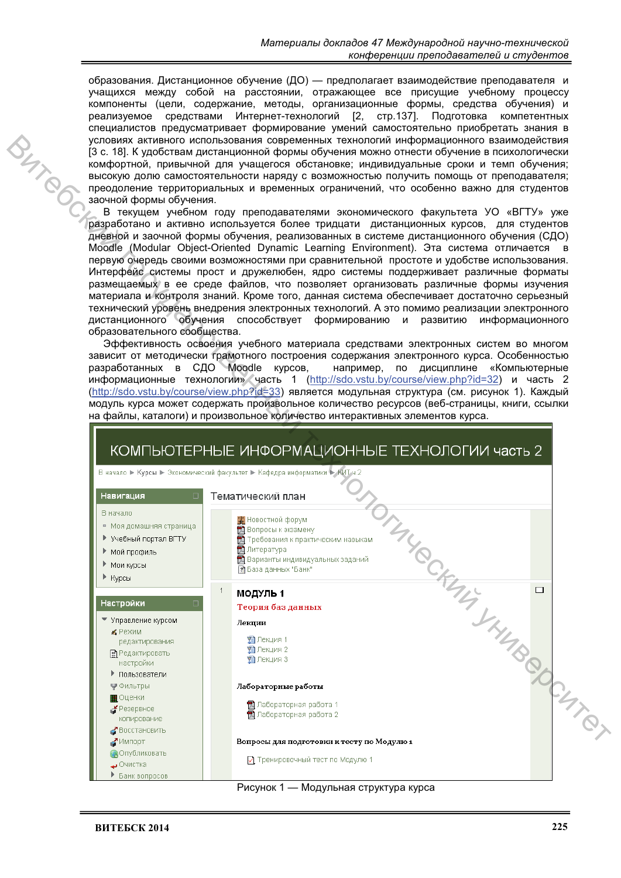образования. Дистанционное обучение (ДО) - предполагает взаимодействие преподавателя и учащихся между собой на расстоянии, отражающее все присущие учебному процессу ,<br>компоненты (цели, содержание, методы, организационные формы, средства обучения) и реализуемое средствами Интернет-технологий [2, стр.137]. Подготовка компетентных специалистов предусматривает формирование умений самостоятельно приобретать знания в условиях активного использования современных технологий информационного взаимодействия [3 с. 18]. К удобствам дистанционной формы обучения можно отнести обучение в психологически комфортной, привычной для учашегося обстановке; индивидуальные сроки и темп обучения; высокую долю самостоятельности наряду с возможностью получить помощь от преподавателя; преодоление территориальных и временных ограничений, что особенно важно для студентов заочной формы обучения.

В текущем учебном году преподавателями экономического факультета УО «ВГТУ» уже разработано и активно используется более тридцати дистанционных курсов, для студентов дневной и заочной формы обучения, реализованных в системе дистанционного обучения (СДО) Moodle (Modular Object-Oriented Dynamic Learning Environment). Эта система отличается в первую очередь своими возможностями при сравнительной простоте и удобстве использования. Интерфейс системы прост и дружелюбен, ядро системы поддерживает различные форматы размещаемых в ее среде файлов, что позволяет организовать различные формы изучения материала и контроля знаний. Кроме того, данная система обеспечивает достаточно серьезный технический уровень внедрения электронных технологий. А это помимо реализации электронного дистанционного обучения способствует формированию и развитию информационного образовательного сообщества.

Эффективность освоения учебного материала средствами электронных систем во многом зависит от методически грамотного построения содержания электронного курса. Особенностью разработанных в СДО Moodle курсов, например, по дисциплине «Компьютерные информационные технологии» часть 1 (http://sdo.vstu.by/course/view.php?id=32) и часть 2 (http://sdo.vstu.by/course/view.php?id=33) является модульная структура (см. рисунок 1). Каждый модуль курса может содержать произвольное количество ресурсов (веб-страницы, книги, ссылки на файлы, каталоги) и произвольное количество интерактивных элементов курса.



Рисунок 1 — Модульная структура курса

**BATICO**